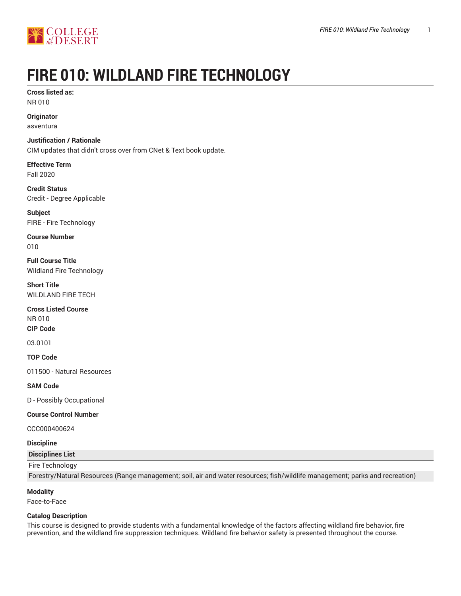



# **FIRE 010: WILDLAND FIRE TECHNOLOGY**

**Cross listed as:** NR 010

**Originator**

asventura

**Justification / Rationale** CIM updates that didn't cross over from CNet & Text book update.

**Effective Term** Fall 2020

**Credit Status** Credit - Degree Applicable

**Subject** FIRE - Fire Technology

**Course Number** 010

**Full Course Title** Wildland Fire Technology

**Short Title** WILDLAND FIRE TECH

**Cross Listed Course** NR 010 **CIP Code**

03.0101

**TOP Code**

011500 - Natural Resources

**SAM Code**

D - Possibly Occupational

# **Course Control Number**

CCC000400624

#### **Discipline**

**Disciplines List**

#### Fire Technology

Forestry/Natural Resources (Range management; soil, air and water resources; fish/wildlife management; parks and recreation)

#### **Modality**

Face-to-Face

#### **Catalog Description**

This course is designed to provide students with a fundamental knowledge of the factors affecting wildland fire behavior, fire prevention, and the wildland fire suppression techniques. Wildland fire behavior safety is presented throughout the course.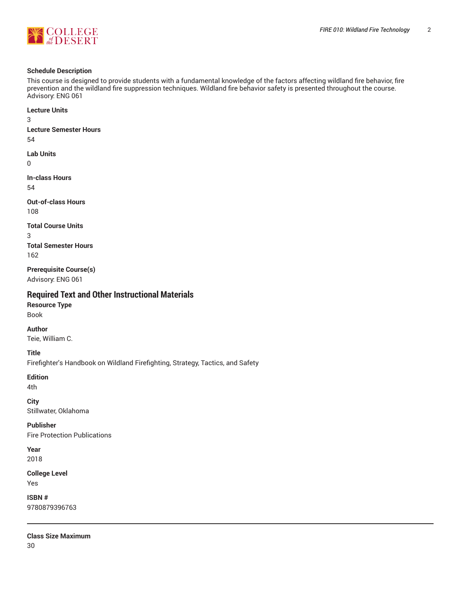



#### **Schedule Description**

This course is designed to provide students with a fundamental knowledge of the factors affecting wildland fire behavior, fire prevention and the wildland fire suppression techniques. Wildland fire behavior safety is presented throughout the course. Advisory: ENG 061

**Lecture Units** 3 **Lecture Semester Hours** 54 **Lab Units**  $\Omega$ **In-class Hours** 54 **Out-of-class Hours** 108 **Total Course Units** 3 **Total Semester Hours** 162 **Prerequisite Course(s)** Advisory: ENG 061 **Required Text and Other Instructional Materials Resource Type** Book

**Author** Teie, William C.

**Title**

Firefighter's Handbook on Wildland Firefighting, Strategy, Tactics, and Safety

**Edition**

4th

**City** Stillwater, Oklahoma

**Publisher** Fire Protection Publications

**Year** 2018

**College Level** Yes

**ISBN #** 9780879396763

**Class Size Maximum** 30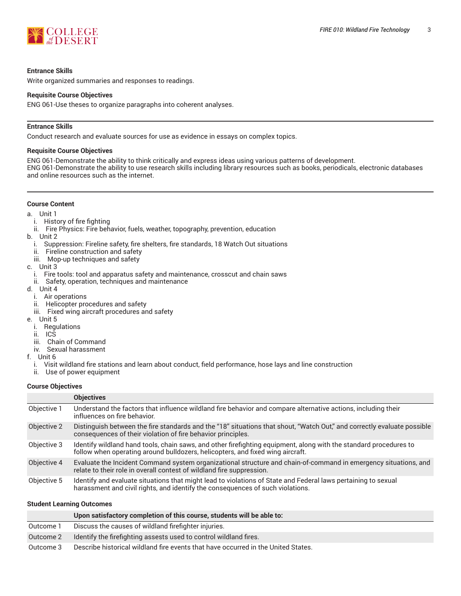

#### **Entrance Skills**

Write organized summaries and responses to readings.

#### **Requisite Course Objectives**

ENG 061-Use theses to organize paragraphs into coherent analyses.

#### **Entrance Skills**

Conduct research and evaluate sources for use as evidence in essays on complex topics.

#### **Requisite Course Objectives**

ENG 061-Demonstrate the ability to think critically and express ideas using various patterns of development.

ENG 061-Demonstrate the ability to use research skills including library resources such as books, periodicals, electronic databases and online resources such as the internet.

#### **Course Content**

- a. Unit 1
	- i. History of fire fighting
	- ii. Fire Physics: Fire behavior, fuels, weather, topography, prevention, education
- b. Unit 2
	- i. Suppression: Fireline safety, fire shelters, fire standards, 18 Watch Out situations
	- ii. Fireline construction and safety
	- iii. Mop-up techniques and safety
- c. Unit 3
	- i. Fire tools: tool and apparatus safety and maintenance, crosscut and chain saws
	- ii. Safety, operation, techniques and maintenance
- d. Unit 4
	- i. Air operations
	- ii. Helicopter procedures and safety
	- iii. Fixed wing aircraft procedures and safety
- e. Unit 5
	- i. Regulations
	- $\overline{\mathbf{u}}$ . ICS
- iii. Chain of Command
	- iv. Sexual harassment
- f. Unit 6
	- i. Visit wildland fire stations and learn about conduct, field performance, hose lays and line construction
	- ii. Use of power equipment

#### **Course Objectives**

|             | <b>Objectives</b>                                                                                                                                                                                   |
|-------------|-----------------------------------------------------------------------------------------------------------------------------------------------------------------------------------------------------|
| Objective 1 | Understand the factors that influence wildland fire behavior and compare alternative actions, including their<br>influences on fire behavior.                                                       |
| Objective 2 | Distinguish between the fire standards and the "18" situations that shout, "Watch Out," and correctly evaluate possible<br>consequences of their violation of fire behavior principles.             |
| Objective 3 | Identify wildland hand tools, chain saws, and other firefighting equipment, along with the standard procedures to<br>follow when operating around bulldozers, helicopters, and fixed wing aircraft. |
| Objective 4 | Evaluate the Incident Command system organizational structure and chain-of-command in emergency situations, and<br>relate to their role in overall contest of wildland fire suppression.            |
| Objective 5 | Identify and evaluate situations that might lead to violations of State and Federal laws pertaining to sexual<br>harassment and civil rights, and identify the consequences of such violations.     |

#### **Student Learning Outcomes**

|           | Upon satisfactory completion of this course, students will be able to:            |
|-----------|-----------------------------------------------------------------------------------|
| Outcome 1 | Discuss the causes of wildland firefighter injuries.                              |
| Outcome 2 | Identify the firefighting assests used to control wildland fires.                 |
| Outcome 3 | Describe historical wildland fire events that have occurred in the United States. |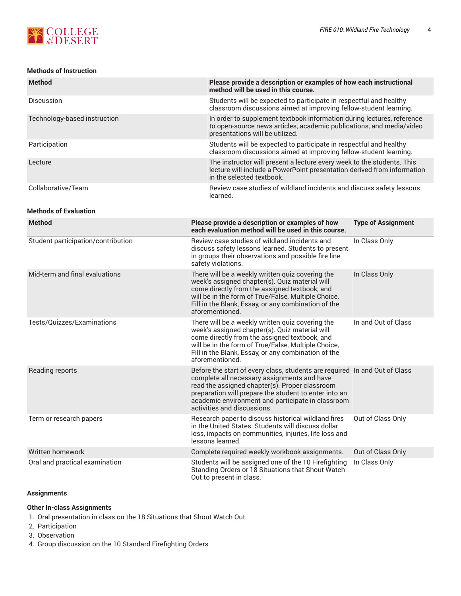

# **Methods of Instruction**

| <b>Method</b>                      | Please provide a description or examples of how each instructional<br>method will be used in this course.                                                                                                                                                                                                                |                                                                                                                                                   |  |  |  |  |
|------------------------------------|--------------------------------------------------------------------------------------------------------------------------------------------------------------------------------------------------------------------------------------------------------------------------------------------------------------------------|---------------------------------------------------------------------------------------------------------------------------------------------------|--|--|--|--|
| Discussion                         | Students will be expected to participate in respectful and healthy<br>classroom discussions aimed at improving fellow-student learning.                                                                                                                                                                                  |                                                                                                                                                   |  |  |  |  |
| Technology-based instruction       | In order to supplement textbook information during lectures, reference<br>to open-source news articles, academic publications, and media/video<br>presentations will be utilized.                                                                                                                                        |                                                                                                                                                   |  |  |  |  |
| Participation                      |                                                                                                                                                                                                                                                                                                                          | Students will be expected to participate in respectful and healthy<br>classroom discussions aimed at improving fellow-student learning.           |  |  |  |  |
| Lecture                            | in the selected textbook.                                                                                                                                                                                                                                                                                                | The instructor will present a lecture every week to the students. This<br>lecture will include a PowerPoint presentation derived from information |  |  |  |  |
| Collaborative/Team                 | Review case studies of wildland incidents and discuss safety lessons<br>learned.                                                                                                                                                                                                                                         |                                                                                                                                                   |  |  |  |  |
| <b>Methods of Evaluation</b>       |                                                                                                                                                                                                                                                                                                                          |                                                                                                                                                   |  |  |  |  |
| <b>Method</b>                      | Please provide a description or examples of how<br>each evaluation method will be used in this course.                                                                                                                                                                                                                   | <b>Type of Assignment</b>                                                                                                                         |  |  |  |  |
| Student participation/contribution | Review case studies of wildland incidents and<br>discuss safety lessons learned. Students to present<br>in groups their observations and possible fire line<br>safety violations.                                                                                                                                        | In Class Only                                                                                                                                     |  |  |  |  |
| Mid-term and final evaluations     | There will be a weekly written quiz covering the<br>week's assigned chapter(s). Quiz material will<br>come directly from the assigned textbook, and<br>will be in the form of True/False, Multiple Choice,<br>Fill in the Blank, Essay, or any combination of the<br>aforementioned.                                     | In Class Only                                                                                                                                     |  |  |  |  |
| Tests/Quizzes/Examinations         | There will be a weekly written quiz covering the<br>week's assigned chapter(s). Quiz material will<br>come directly from the assigned textbook, and<br>will be in the form of True/False, Multiple Choice,<br>Fill in the Blank, Essay, or any combination of the<br>aforementioned.                                     | In and Out of Class                                                                                                                               |  |  |  |  |
| Reading reports                    | Before the start of every class, students are required In and Out of Class<br>complete all necessary assignments and have<br>read the assigned chapter(s). Proper classroom<br>preparation will prepare the student to enter into an<br>academic environment and participate in classroom<br>activities and discussions. |                                                                                                                                                   |  |  |  |  |
| Term or research papers            | Research paper to discuss historical wildland fires<br>in the United States. Students will discuss dollar<br>loss, impacts on communities, injuries, life loss and<br>lessons learned.                                                                                                                                   | Out of Class Only                                                                                                                                 |  |  |  |  |
| Written homework                   | Complete required weekly workbook assignments.                                                                                                                                                                                                                                                                           | Out of Class Only                                                                                                                                 |  |  |  |  |
| Oral and practical examination     | Students will be assigned one of the 10 Firefighting<br>Standing Orders or 18 Situations that Shout Watch<br>Out to present in class.                                                                                                                                                                                    | In Class Only                                                                                                                                     |  |  |  |  |

# **Assignments**

## **Other In-class Assignments**

- 1. Oral presentation in class on the 18 Situations that Shout Watch Out
- 2. Participation
- 3. Observation
- 4. Group discussion on the 10 Standard Firefighting Orders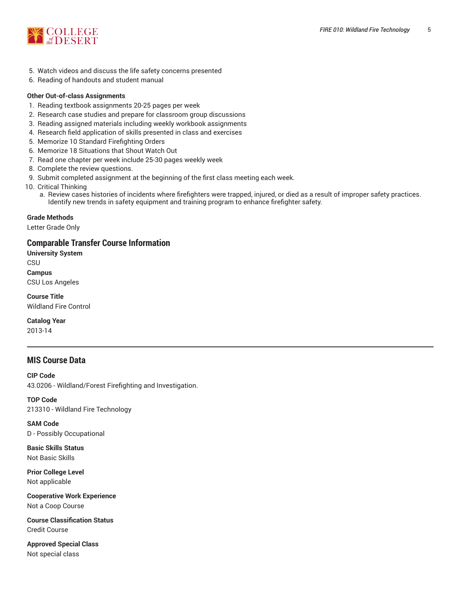

- 5. Watch videos and discuss the life safety concerns presented
- 6. Reading of handouts and student manual

## **Other Out-of-class Assignments**

- 1. Reading textbook assignments 20-25 pages per week
- 2. Research case studies and prepare for classroom group discussions
- 3. Reading assigned materials including weekly workbook assignments
- 4. Research field application of skills presented in class and exercises
- 5. Memorize 10 Standard Firefighting Orders
- 6. Memorize 18 Situations that Shout Watch Out
- 7. Read one chapter per week include 25-30 pages weekly week
- 8. Complete the review questions.
- 9. Submit completed assignment at the beginning of the first class meeting each week.
- 10. Critical Thinking
	- a. Review cases histories of incidents where firefighters were trapped, injured, or died as a result of improper safety practices. Identify new trends in safety equipment and training program to enhance firefighter safety.

## **Grade Methods**

Letter Grade Only

# **Comparable Transfer Course Information**

**University System** CSU **Campus** CSU Los Angeles

**Course Title** Wildland Fire Control

**Catalog Year**

2013-14

# **MIS Course Data**

**CIP Code** 43.0206 - Wildland/Forest Firefighting and Investigation.

**TOP Code** 213310 - Wildland Fire Technology

**SAM Code** D - Possibly Occupational

**Basic Skills Status** Not Basic Skills

**Prior College Level** Not applicable

**Cooperative Work Experience** Not a Coop Course

**Course Classification Status** Credit Course

**Approved Special Class** Not special class